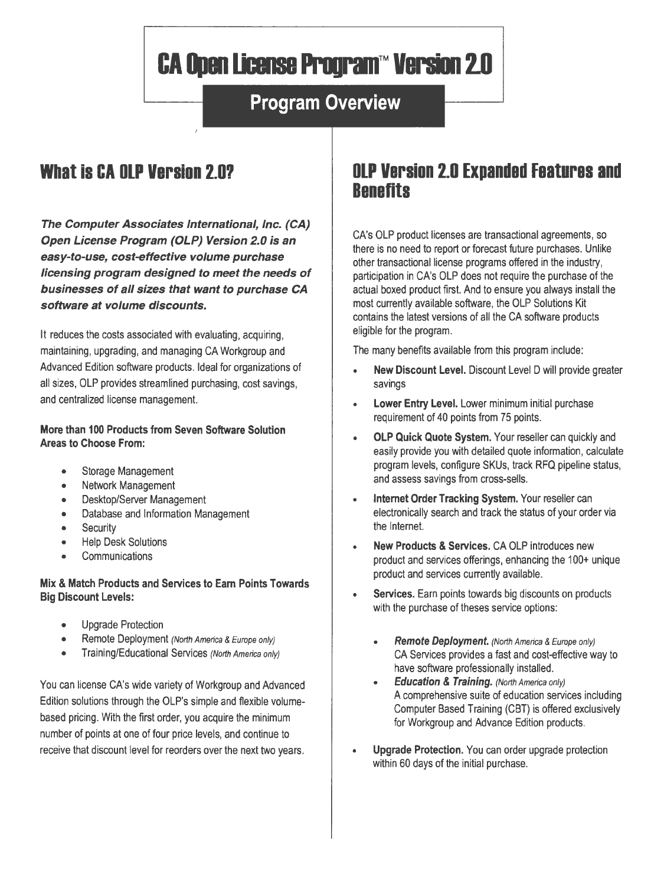# **CA Open License Program™ Version 2.0**

# **Program Overview**

# **What is CA OLP Version 2.07**

**The Computer Associates International, Inc. (CA) Open License Program (OLP) Version 2.0 is an easy-to-use, cost-effective volume purchase licensing program designed to meet the needs of businesses of all sizes that want to purchase CA software at volume discounts.** 

It reduces the costs associated with evaluating, acquiring, maintaining, upgrading, and managing CA Workgroup and Advanced Edition software products. Ideal for organizations of all sizes, OLP provides streamlined purchasing, cost savings, and centralized license management.

#### **More than 100 Products from Seven Software Solution Areas to Choose From:**

- Storage Management
- Network Management
- Desktop/Server Management
- Database and Information Management
- Security
- Help Desk Solutions
- **Communications**

**Mix & Match Products and Services to Earn Points Towards Big Discount Levels:** 

- Upgrade Protection
- Remote Deployment (North America & Europe only)
- **Training/Educational Services (North America only)**

You can license CA's wide variety of Workgroup and Advanced Edition solutions through the OLP's simple and flexible volumebased pricing. With the first order, you acquire the minimum number of points at one of four price levels, and continue to receive that discount level for reorders over the next two years.

# **OLP Version 2.0 Expanded Features and Benefits**

CA's OLP product licenses are transactional agreements, so there is no need to report or forecast future purchases. Unlike other transactional license programs offered in the industry, participation in CA's OLP does not require the purchase of the actual boxed product first. And to ensure you always install the most currently available software, the OLP Solutions Kit contains the latest versions of all the CA software products eligible for the program.

The many benefits available from this program include:

- **New Discount Level.** Discount Level D will provide greater savings
- **Lower Entry Level.** Lower minimum initial purchase requirement of 40 points from 75 points.
- **OLP Quick Quote System.** Your reseller can quickly and easily provide you with detailed quote information, calculate program levels, configure SKUs, track RFQ pipeline status, and assess savings from cross-sells.
- **Internet Order Tracking System.** Your reseller can electronically search and track the status of your order via the Internet.
- **New Products & Services.** CA OLP introduces new product and services offerings, enhancing the 100+ unique product and services currently available.
- **Services.** Earn points towards big discounts on products with the purchase of theses service options:
	- **Remote Deployment.** (North America & Europe only) CA Services provides a fast and cost-effective way to have software professionally installed.
	- **Education & Training.** (Norlh America only) A comprehensive suite of education services including Computer Based Training (CBT) is offered exclusively for Workgroup and Advance Edition products.
- **Upgrade Protection.** You can order upgrade protection within 60 days of the initial purchase.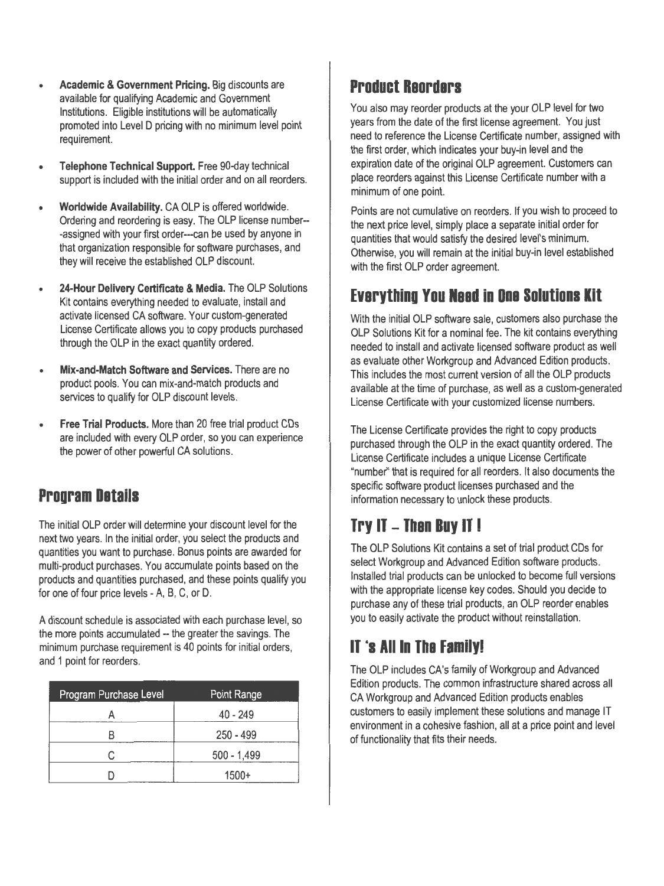- **Academic & Government Pricing.** Big discounts are available for qualifying Academic and Government Institutions. Eligible institutions will be automatically promoted into Level D pricing with no minimum level point requirement.
- **Telephone Technical Support.** Free 90-day technical support is included with the initial order and on all reorders.
- **Worldwide Availability.** CA OLP is offered worldwide. Ordering and reordering is easy. The OLP license number-- -assigned with your first order---can be used by anyone in that organization responsible for software purchases, and they will receive the established OLP discount.
- **24-Hour Delivery Certificate & Media.** The OLP Solutions Kit contains everything needed to evaluate, install and activate licensed CA software. Your custom-generated License Certificate allows you to copy products purchased through the OLP in the exact quantity ordered.
- **Mix-and-Match Software and Services.** There are no product pools. You can mix-and-match products and services to qualify for OLP discount levels.
- **Free Trial Products.** More than 20 free trial product CDs are included with every OLP order, so you can experience the power of other powerful CA solutions.

### **Program Details**

The initial OLP order will determine your discount level for the next two years. In the initial order, you select the products and quantities you want to purchase. Bonus points are awarded for multi-product purchases. You accumulate points based on the products and quantities purchased, and these points qualify you for one of four price levels - A, B, C, or D.

A discount schedule is associated with each purchase level, so the more points accumulated -- the greater the savings. The minimum purchase requirement is 40 points for initial orders, and 1 point for reorders.

| Program Purchase Level | Point Range   |
|------------------------|---------------|
|                        | $40 - 249$    |
|                        | $250 - 499$   |
|                        | $500 - 1,499$ |
|                        | $1500+$       |

#### **Product Reorders**

You also may reorder products at the your OLP level for two years from the date of the first license agreement. You just need to reference the License Certificate number, assigned with the first order, which indicates your buy-in level and the expiration date of the original OLP agreement. Customers can place reorders against this License Certificate number with a minimum of one point.

Points are not cumulative on reorders. If you wish to proceed to the next price level, simply place a separate initial order for quantities that would satisfy the desired level's minimum. Otherwise, you will remain at the initial buy-in level established with the first OLP order agreement.

#### **Everything You Need in One Solutions Kit**

With the initial OLP software sale, customers also purchase the OLP Solutions Kit for a nominal fee. The kit contains everything needed to install and activate licensed software product as well as evaluate other Workgroup and Advanced Edition products. This includes the most current version of all the OLP products available at the time of purchase, as well as a custom-generated License Certificate with your customized license numbers.

The License Certificate provides the right to copy products purchased through the OLP in the exact quantity ordered. The License Certificate includes a unique License Certificate "number" that is required for all reorders. It also documents the specific software product licenses purchased and the information necessary to unlock these products.

# **Try IT - Then Buy IT I**

The OLP Solutions Kit contains a set of trial product CDs for select Workgroup and Advanced Edition software products. Installed trial products can be unlocked to become full versions with the appropriate license key codes. Should you decide to purchase any of these trial products, an OLP reorder enables you to easily activate the product without reinstallation.

# **IT ·s All In The Familyl**

The OLP includes CA's family of Workgroup and Advanced Edition products. The common infrastructure shared across all CA Workgroup and Advanced Edition products enables customers to easily implement these solutions and manage IT environment in a cohesive fashion, all at a price point and level of functionality that fits their needs.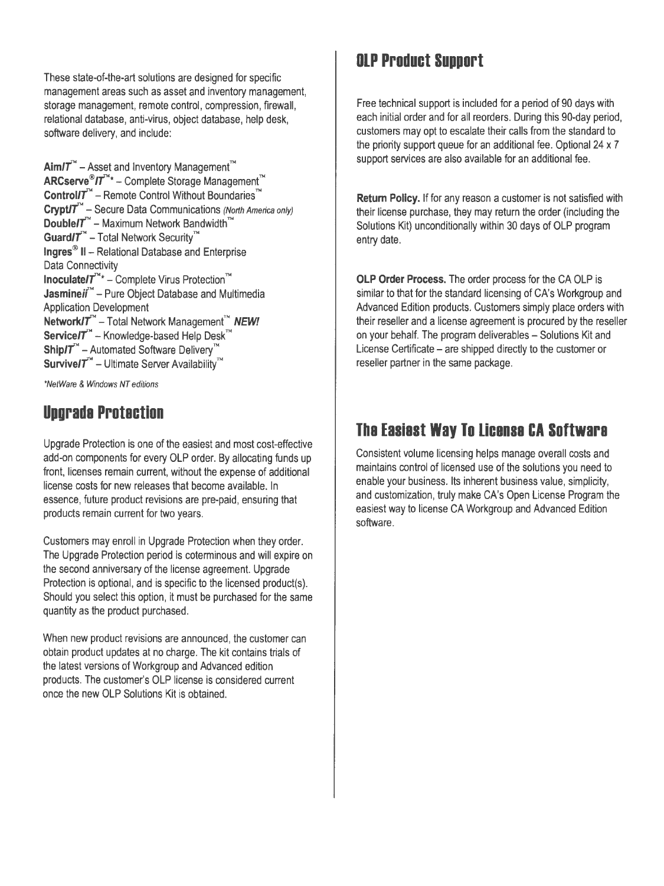These state-of-the-art solutions are designed for specific management areas such as asset and inventory management, storage management, remote control, compression, firewall, relational database, anti-virus, object database, help desk, software delivery, and include:

 $Aim/T^{\sim}$  – Asset and Inventory Management<sup>™</sup> **ARCserve®/t"\*** - Complete Storage Management™ Control/T<sup>™</sup> – Remote Control Without Boundaries™ **Crypt/T<sup>"</sup>** - Secure Data Communications (North America only) **Double/T<sup>™</sup> - Maximum Network Bandwidth™** Guard/T<sup>™</sup> - Total Network Security<sup>™</sup> **Ingres®** II - Relational Database and Enterprise Data Connectivity **lnoculate/T<sup>™\*</sup>** – Complete Virus Protection<sup>™</sup> **Jasmineii<sup>™</sup>** – Pure Object Database and Multimedia Application Development **Network/T<sup>™</sup> - Total Network Management™ NEW!** Service/T<sup>™</sup> - Knowledge-based Help Desk<sup>™</sup> **Ship/T<sup>™</sup>** - Automated Software Delivery<sup>™</sup> **Survive/T<sup>™</sup> - Ultimate Server Availability<sup>™</sup>** 

\*Ne/Ware & Windows NT editions

# **Upgrade Protection**

Upgrade Protection is one of the easiest and most cost-effective add-on components for every OLP order. By allocating funds up front, licenses remain current, without the expense of additional license costs for new releases that become available. In essence, future product revisions are pre-paid, ensuring that products remain current for two years.

Customers may enroll in Upgrade Protection when they order. The Upgrade Protection period is coterminous and will expire on the second anniversary of the license agreement. Upgrade Protection is optional, and is specific to the licensed product(s). Should you select this option, it must be purchased for the same quantity as the product purchased.

When new product revisions are announced, the customer can obtain product updates at no charge. The kit contains trials of the latest versions of Workgroup and Advanced edition products. The customer's OLP license is considered current once the new OLP Solutions Kit is obtained.

# **OLP Product Support**

Free technical support is included for a period of 90 days with each initial order and for all reorders. During this 90-day period, customers may opt to escalate their calls from the standard to the priority support queue for an additional fee. Optional 24 x 7 support services are also available for an additional fee.

**Return Policy.** If for any reason a customer is not satisfied with their license purchase, they may return the order (including the Solutions Kit) unconditionally within 30 days of OLP program entry date.

**OLP Order Process.** The order process for the CA OLP is similar to that for the standard licensing of CA's Workgroup and Advanced Edition products. Customers simply place orders with their reseller and a license agreement is procured by the reseller on your behalf. The program deliverables - Solutions Kit and License Certificate – are shipped directly to the customer or reseller partner in the same package.

# **The Easiest Way To License CA Software**

Consistent volume licensing helps manage overall costs and maintains control of licensed use of the solutions you need to enable your business. Its inherent business value, simplicity, and customization, truly make CA's Open License Program the easiest way to license CA Workgroup and Advanced Edition software.